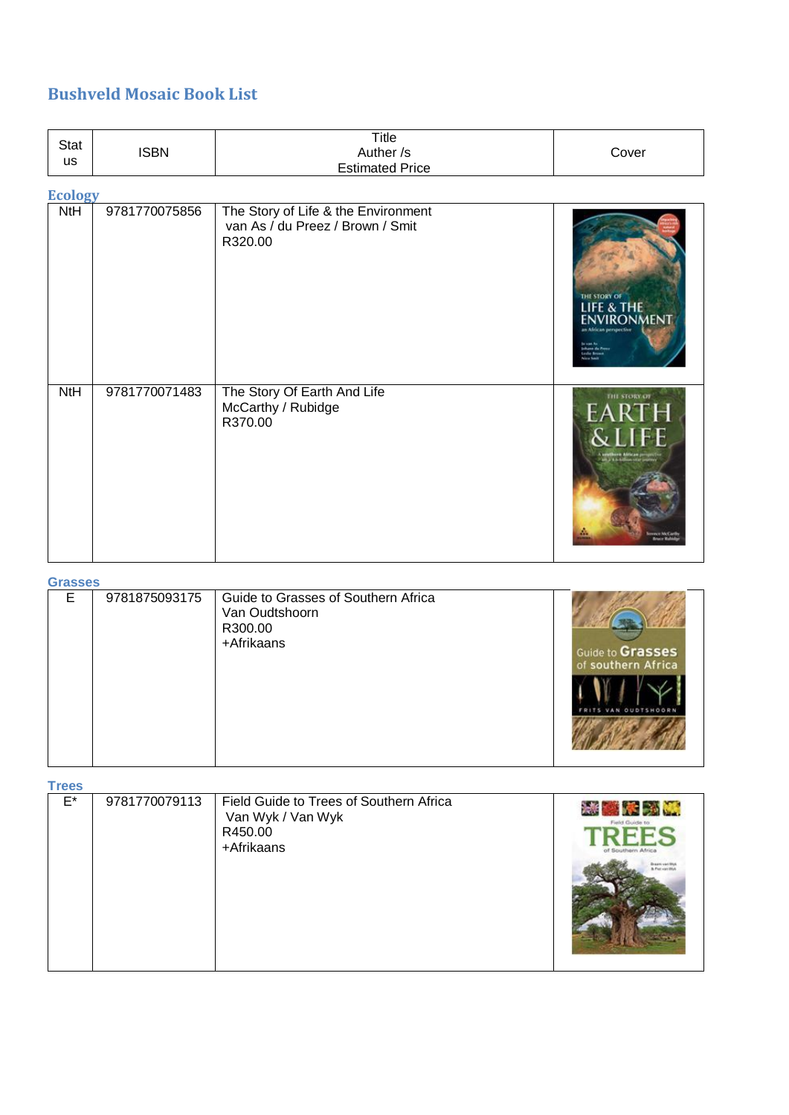# **Bushveld Mosaic Book List**

| Stat<br><b>us</b> | <b>ISBN</b>   | <b>Title</b><br>Auther /s<br><b>Estimated Price</b>                                | Cover                                          |
|-------------------|---------------|------------------------------------------------------------------------------------|------------------------------------------------|
| <b>Ecology</b>    |               |                                                                                    |                                                |
| NtH               | 9781770075856 | The Story of Life & the Environment<br>van As / du Preez / Brown / Smit<br>R320.00 | THE STORY OF<br>LIFE & THE<br><b>NVIRONMEN</b> |
| <b>NtH</b>        | 9781770071483 | The Story Of Earth And Life<br>McCarthy / Rubidge<br>R370.00                       | THE STORY OF<br>FARTH<br>$\mathsf{H}$          |

#### **Grasses**

| Е | 9781875093175 | Guide to Grasses of Southern Africa<br>Van Oudtshoorn<br>R300.00<br>+Afrikaans | Guide to Grasses<br>of southern Africa<br><b>OUDTSHOORN</b> |
|---|---------------|--------------------------------------------------------------------------------|-------------------------------------------------------------|
|---|---------------|--------------------------------------------------------------------------------|-------------------------------------------------------------|

**Trees**

| E* | 9781770079113 | Field Guide to Trees of Southern Africa<br>Van Wyk / Van Wyk<br>R450.00<br>+Afrikaans | Field Guide to<br>of Southern Afric. |
|----|---------------|---------------------------------------------------------------------------------------|--------------------------------------|
|----|---------------|---------------------------------------------------------------------------------------|--------------------------------------|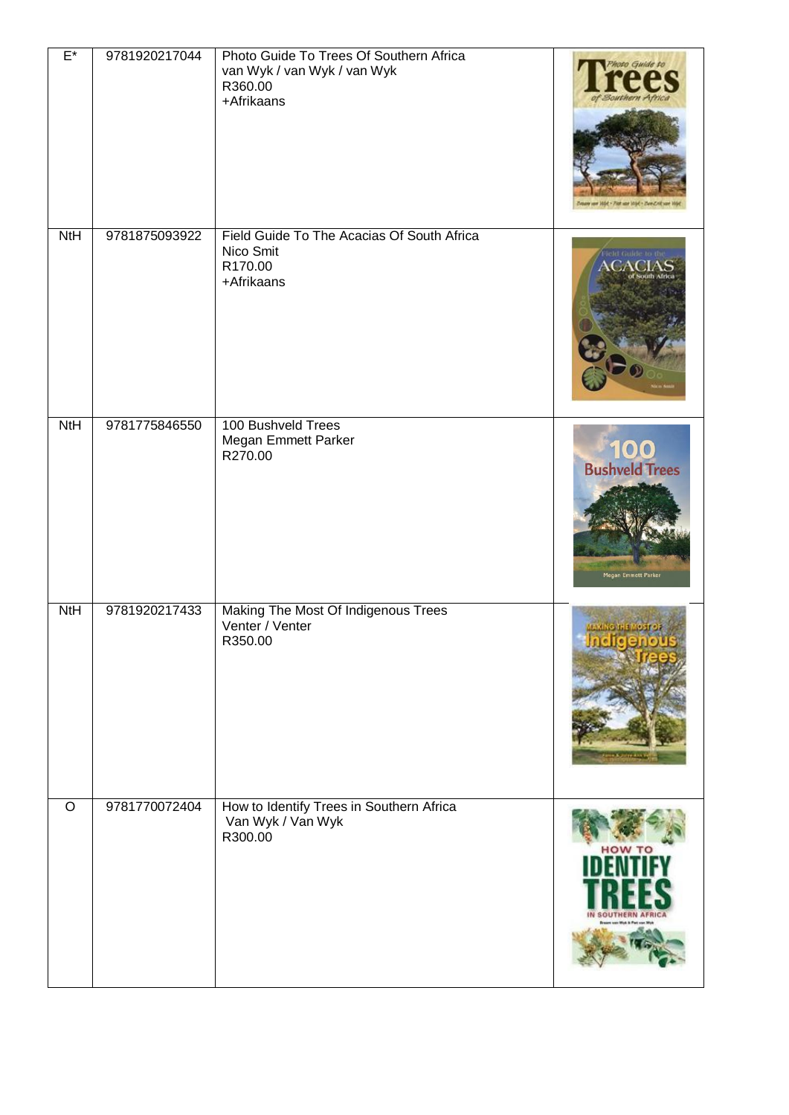| $E^*$      | 9781920217044 | Photo Guide To Trees Of Southern Africa<br>van Wyk / van Wyk / van Wyk<br>R360.00<br>+Afrikaans | Moro Guide to<br>fat + Pier use Videl + Pare Fri |
|------------|---------------|-------------------------------------------------------------------------------------------------|--------------------------------------------------|
| <b>NtH</b> | 9781875093922 | Field Guide To The Acacias Of South Africa<br>Nico Smit<br>R170.00<br>+Afrikaans                | Pield Guide to the<br>'ACIAS<br>South Africa     |
| NtH        | 9781775846550 | 100 Bushveld Trees<br>Megan Emmett Parker<br>R270.00                                            | 100<br>Bushveld Trees<br>Megan Emmett Parker     |
| NtH        | 9781920217433 | Making The Most Of Indigenous Trees<br>Venter / Venter<br>R350.00                               | AKING THE MOST                                   |
| $\circ$    | 9781770072404 | How to Identify Trees in Southern Africa<br>Van Wyk / Van Wyk<br>R300.00                        | HOW TO                                           |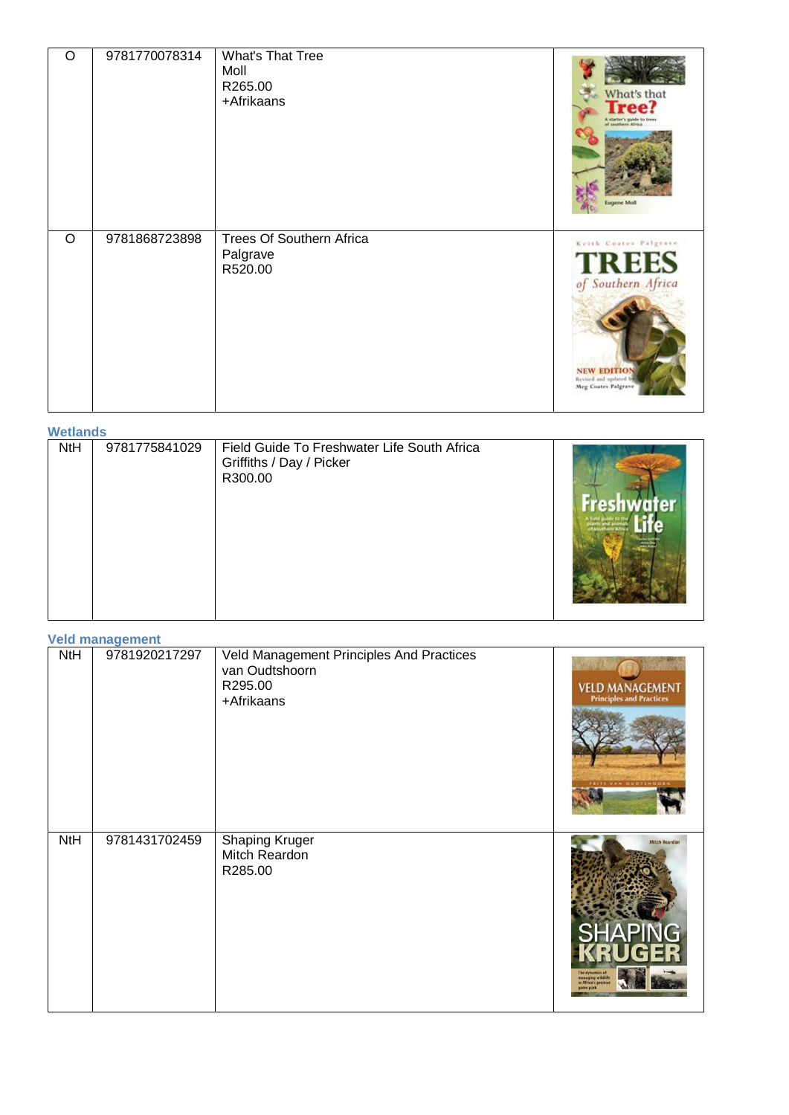| O       | 9781770078314 | What's That Tree<br>Moll<br>R265.00<br>+Afrikaans      | What's that<br><b>Tree?</b><br>A starter's guide to tree<br>of southern Africa<br><b>Jugene Moll</b>                            |
|---------|---------------|--------------------------------------------------------|---------------------------------------------------------------------------------------------------------------------------------|
| $\circ$ | 9781868723898 | <b>Trees Of Southern Africa</b><br>Palgrave<br>R520.00 | Keith Coates Palgrave<br><b>TREES</b><br>of Southern Africa<br><b>NEW EDITION</b><br>Revised and updated<br>Meg Coates Palgrave |

**Wetlands**

| ,,,,,,,,,,, |               |                                                                                    |  |
|-------------|---------------|------------------------------------------------------------------------------------|--|
| <b>NtH</b>  | 9781775841029 | Field Guide To Freshwater Life South Africa<br>Griffiths / Day / Picker<br>R300.00 |  |

**Veld management**

| NtH | <b>VOID MANDATE</b><br>9781920217297 | Veld Management Principles And Practices<br>van Oudtshoorn<br>R295.00 |                                                                                   |
|-----|--------------------------------------|-----------------------------------------------------------------------|-----------------------------------------------------------------------------------|
|     |                                      | +Afrikaans                                                            | <b>VELD MANAGEMENT</b><br><b>Principles and Practices</b><br>FEITS VAN OUDTINGDEN |
| NtH | 9781431702459                        | <b>Shaping Kruger</b><br>Mitch Reardon<br>R285.00                     | <b>Mitch Reardor</b><br>RUGER<br>he dynam<br>nanaging wildli<br>in Africa's pre-  |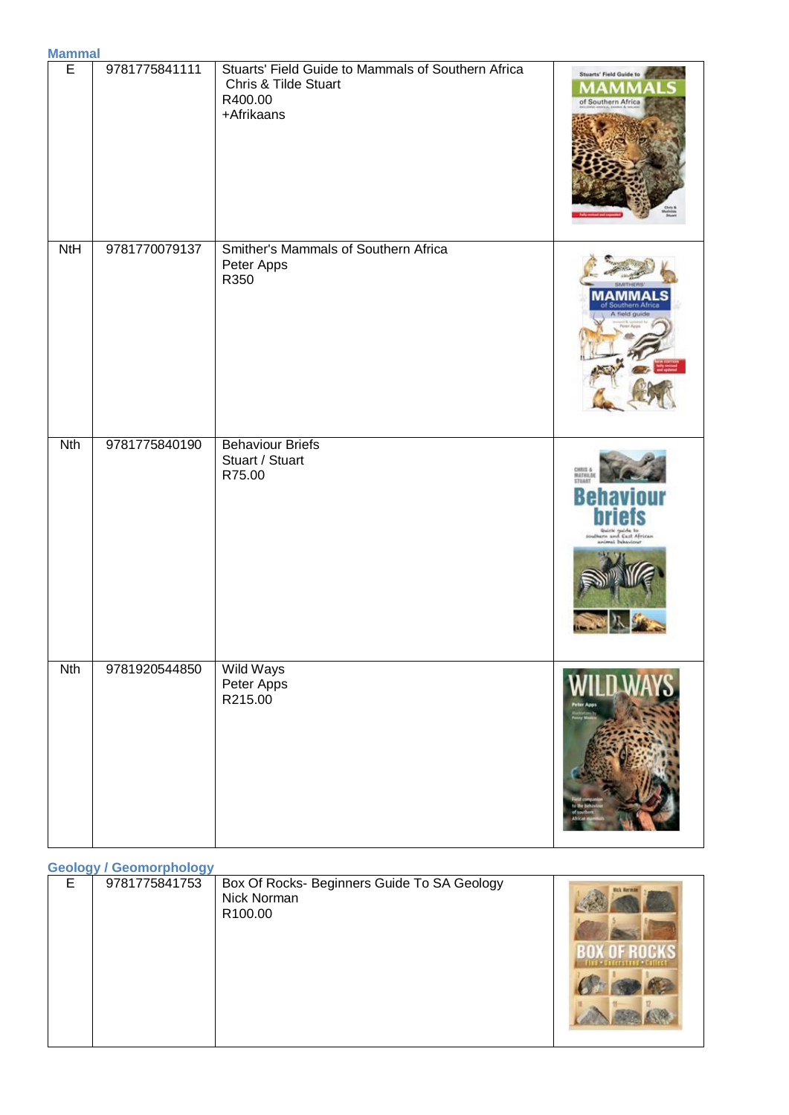| <u>Malillid</u><br>E | 9781775841111 | Stuarts' Field Guide to Mammals of Southern Africa<br>Chris & Tilde Stuart<br>R400.00<br>+Afrikaans | Stuarts' Field Guide to<br>of Southern Africa |
|----------------------|---------------|-----------------------------------------------------------------------------------------------------|-----------------------------------------------|
| <b>NtH</b>           | 9781770079137 | Smither's Mammals of Southern Africa<br>Peter Apps<br>R350                                          |                                               |
| <b>Nth</b>           | 9781775840190 | <b>Behaviour Briefs</b><br>Stuart / Stuart<br>R75.00                                                | <b>MATHS &amp;</b>                            |
| <b>Nth</b>           | 9781920544850 | Wild Ways<br>Peter Apps<br>R215.00                                                                  | WILD W                                        |

# **Geology / Geomorphology**

|  | E | 9781775841753 | Box Of Rocks- Beginners Guide To SA Geology<br>Nick Norman<br>R100.00 | <b>Nich Harman</b> |
|--|---|---------------|-----------------------------------------------------------------------|--------------------|
|--|---|---------------|-----------------------------------------------------------------------|--------------------|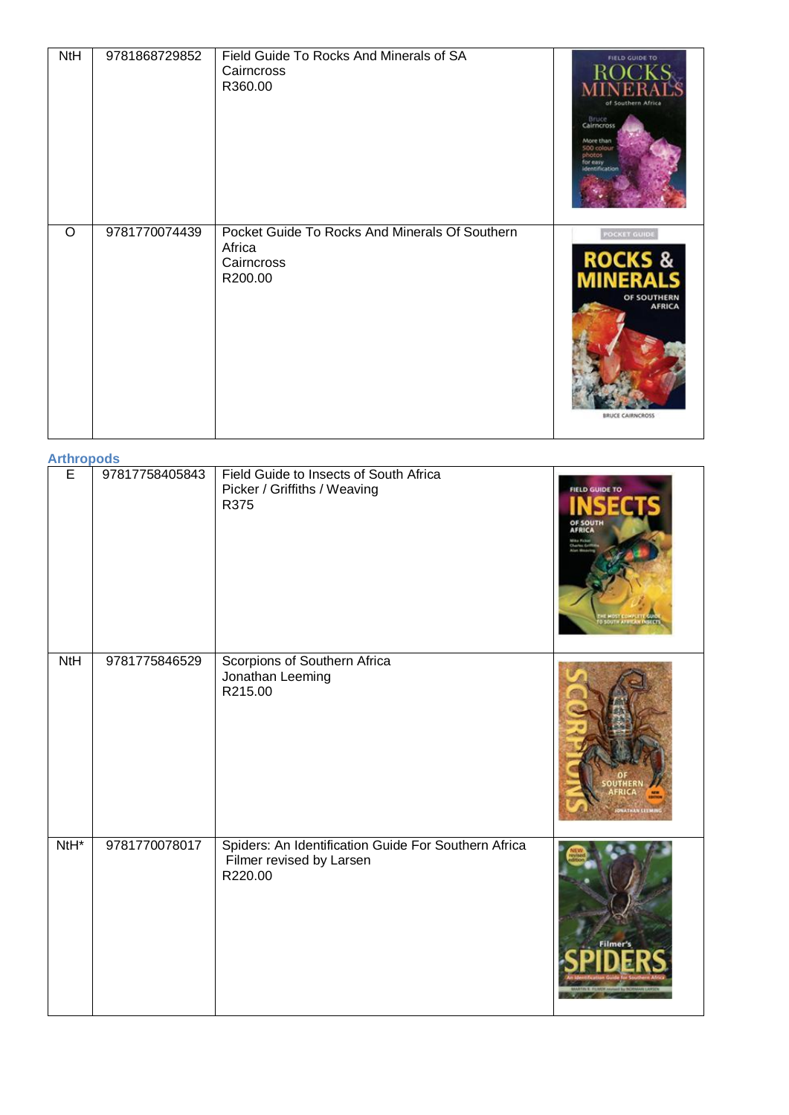| NtH     | 9781868729852 | Field Guide To Rocks And Minerals of SA<br>Cairncross<br>R360.00                  | FIELD GUIDE TO<br>of Southern Africa<br>Bruce<br>Cairncross<br>More than<br>500 colour<br>photos<br>for easy<br>dentification |
|---------|---------------|-----------------------------------------------------------------------------------|-------------------------------------------------------------------------------------------------------------------------------|
| $\circ$ | 9781770074439 | Pocket Guide To Rocks And Minerals Of Southern<br>Africa<br>Cairncross<br>R200.00 | <b>POCKET GUIDE</b><br><b>ROCKS &amp;</b><br><b>INERALS</b><br>OF SOUTHERN<br><b>AFRICA</b><br><b>BRUCE CAIRNCROSS</b>        |

#### **Arthropods**

| E                | 97817758405843 | Field Guide to Insects of South Africa<br>Picker / Griffiths / Weaving<br>R375              | FIELD GUIDE TO |
|------------------|----------------|---------------------------------------------------------------------------------------------|----------------|
| NtH              | 9781775846529  | Scorpions of Southern Africa<br>Jonathan Leeming<br>R215.00                                 |                |
| NtH <sup>*</sup> | 9781770078017  | Spiders: An Identification Guide For Southern Africa<br>Filmer revised by Larsen<br>R220.00 | ilme           |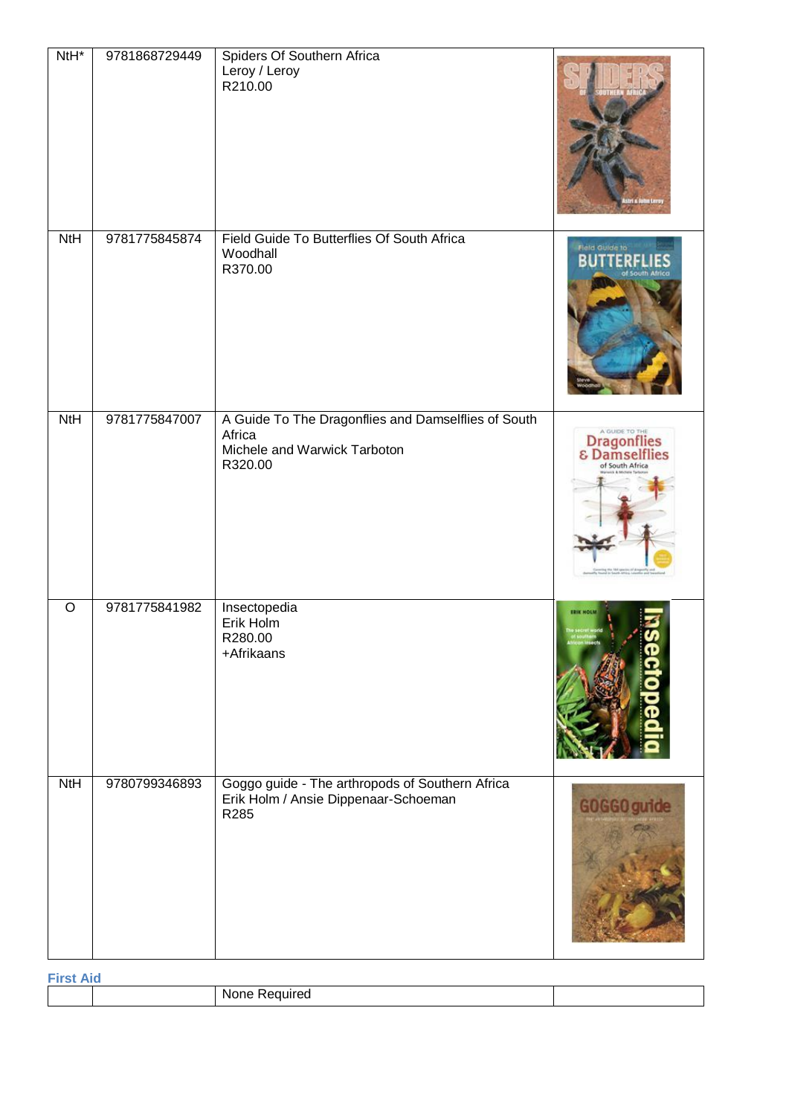| NtH <sup>*</sup> | 9781868729449 | Spiders Of Southern Africa<br>Leroy / Leroy<br>R210.00                                                   |                                                        |
|------------------|---------------|----------------------------------------------------------------------------------------------------------|--------------------------------------------------------|
| <b>NtH</b>       | 9781775845874 | Field Guide To Butterflies Of South Africa<br>Woodhall<br>R370.00                                        | Field Guide to<br>of South Africa                      |
| <b>NtH</b>       | 9781775847007 | A Guide To The Dragonflies and Damselflies of South<br>Africa<br>Michele and Warwick Tarboton<br>R320.00 | <b>Dragonflies</b><br>& Damselflies<br>of South Africa |
| $\circ$          | 9781775841982 | Insectopedia<br>Erik Holm<br>R280.00<br>+Afrikaans                                                       | <b>ERIK HOLN</b>                                       |
| <b>NtH</b>       | 9780799346893 | Goggo guide - The arthropods of Southern Africa<br>Erik Holm / Ansie Dippenaar-Schoeman<br>R285          | GOGGO guide                                            |

| <b>First</b> |                  |  |  |
|--------------|------------------|--|--|
|              | None<br>Required |  |  |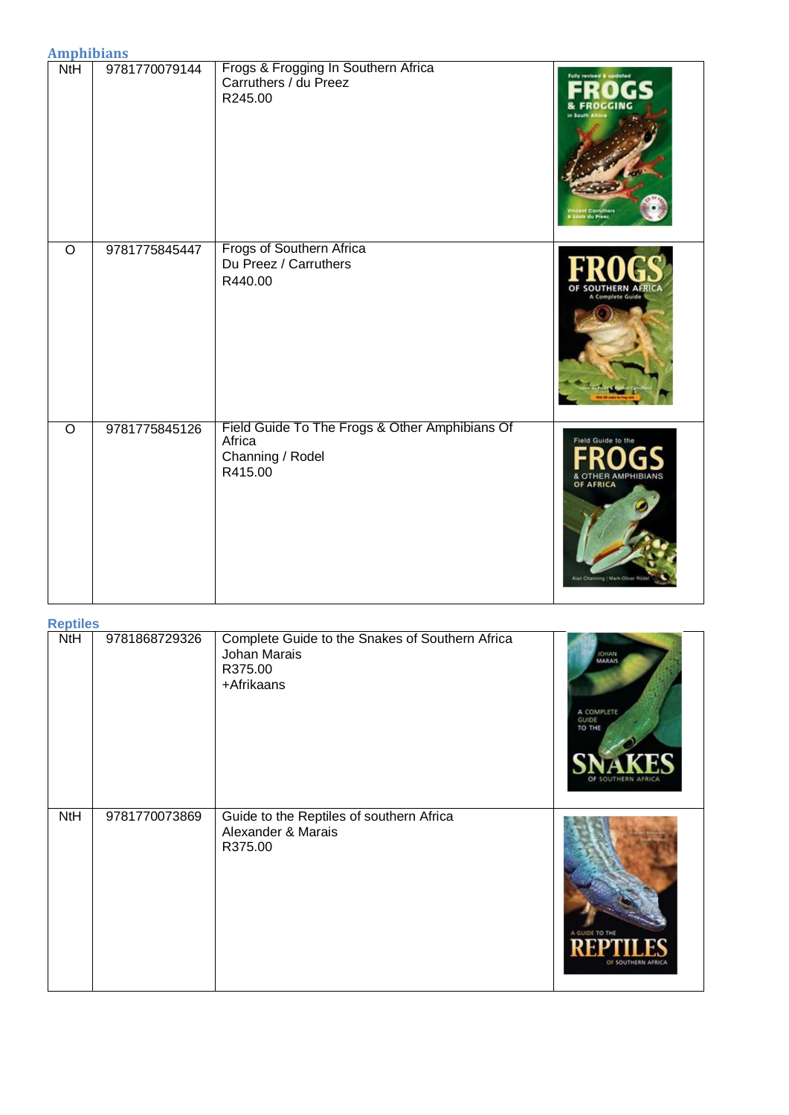**Amphibians**

| , ,,,,, ,,,,,,,,,,,,,,,<br>NtH | 9781770079144 | Frogs & Frogging In Southern Africa<br>Carruthers / du Preez<br>R245.00                 | Fully revised & updated<br><b>FROGGING</b>                                                |
|--------------------------------|---------------|-----------------------------------------------------------------------------------------|-------------------------------------------------------------------------------------------|
| $\circ$                        | 9781775845447 | <b>Frogs of Southern Africa</b><br>Du Preez / Carruthers<br>R440.00                     |                                                                                           |
| $\overline{O}$                 | 9781775845126 | Field Guide To The Frogs & Other Amphibians Of<br>Africa<br>Channing / Rodel<br>R415.00 | Field Guide to the<br>OTHER AMPHIRIANS<br>OF AFRICA<br><b>Vian Channing   Mark-Oliver</b> |

**Reptiles**

| <b>IZPUILES</b> |               |                                                                                          |                                               |
|-----------------|---------------|------------------------------------------------------------------------------------------|-----------------------------------------------|
| NtH             | 9781868729326 | Complete Guide to the Snakes of Southern Africa<br>Johan Marais<br>R375.00<br>+Afrikaans | <b>JOHAN</b><br>A COMPLETE<br>GUIDE<br>TO THE |
| NtH             | 9781770073869 | Guide to the Reptiles of southern Africa<br>Alexander & Marais<br>R375.00                | A GUIDE TO THE<br>OF SOUTHERN AFRICA          |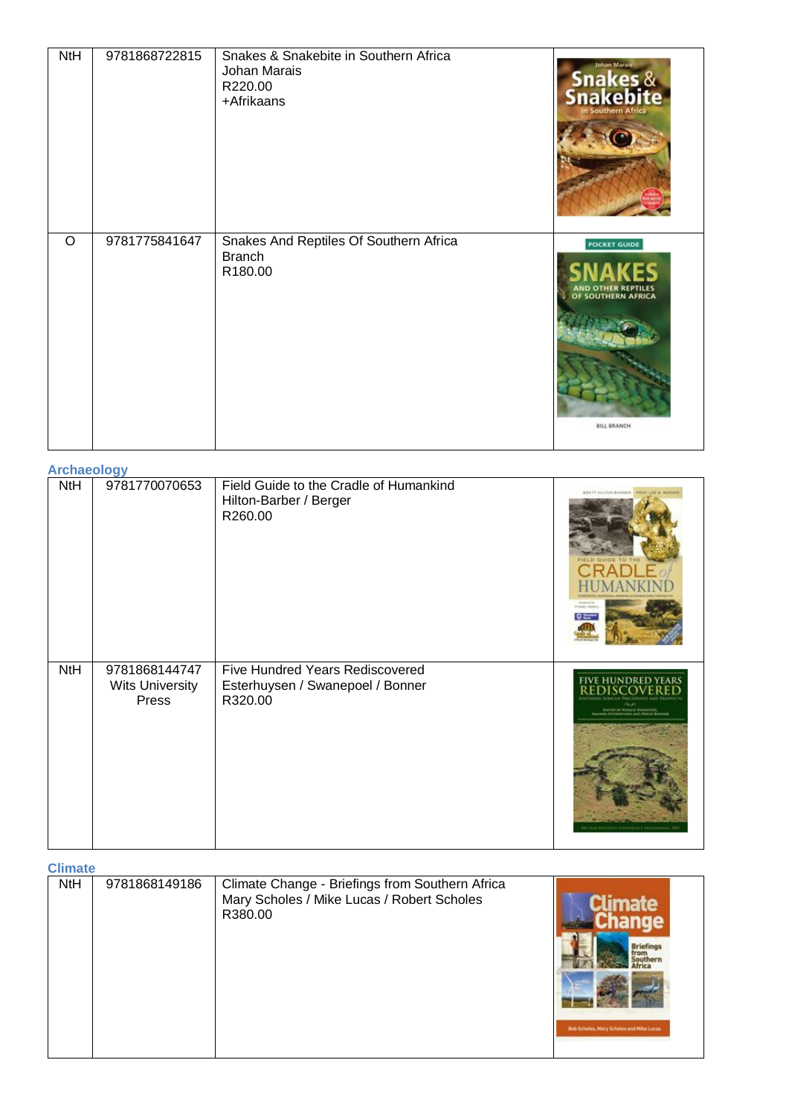| <b>NtH</b> | 9781868722815 | Snakes & Snakebite in Southern Africa<br>Johan Marais<br>R220.00<br>+Afrikaans | Johan Marai<br><b>Snakes &amp;<br/>Snakebite</b>                |
|------------|---------------|--------------------------------------------------------------------------------|-----------------------------------------------------------------|
| $\circ$    | 9781775841647 | Snakes And Reptiles Of Southern Africa<br><b>Branch</b><br>R180.00             | <b>POCKET GUIDE</b><br>OF SOUTHERN AFRICA<br><b>BILL BRANCH</b> |

**Archaeology**

| 1.1911499199 |                                                  |                                                                                |                                                                                                                                        |
|--------------|--------------------------------------------------|--------------------------------------------------------------------------------|----------------------------------------------------------------------------------------------------------------------------------------|
| NtH          | 9781770070653                                    | Field Guide to the Cradle of Humankind<br>Hilton-Barber / Berger<br>R260.00    | <b>BALTY INLINE BARBER</b>                                                                                                             |
| NtH          | 9781868144747<br><b>Wits University</b><br>Press | Five Hundred Years Rediscovered<br>Esterhuysen / Swanepoel / Bonner<br>R320.00 | <b>FIVE HUNDRED YEAR</b><br><b>EDITOR BY PHOLICE BRANCISCO.</b><br>AAAADIN EDITORPANYANA AAD PHOLIC BONNE<br><b>THE CISSISSIPPE FR</b> |

**Climate**

| סוווומנס |               |                                                                                                          |                                                                      |
|----------|---------------|----------------------------------------------------------------------------------------------------------|----------------------------------------------------------------------|
| NtH      | 9781868149186 | Climate Change - Briefings from Southern Africa<br>Mary Scholes / Mike Lucas / Robert Scholes<br>R380.00 | mate<br><b>Briefings</b><br>Bub Scholas, Mary Scholas and Mike Lucas |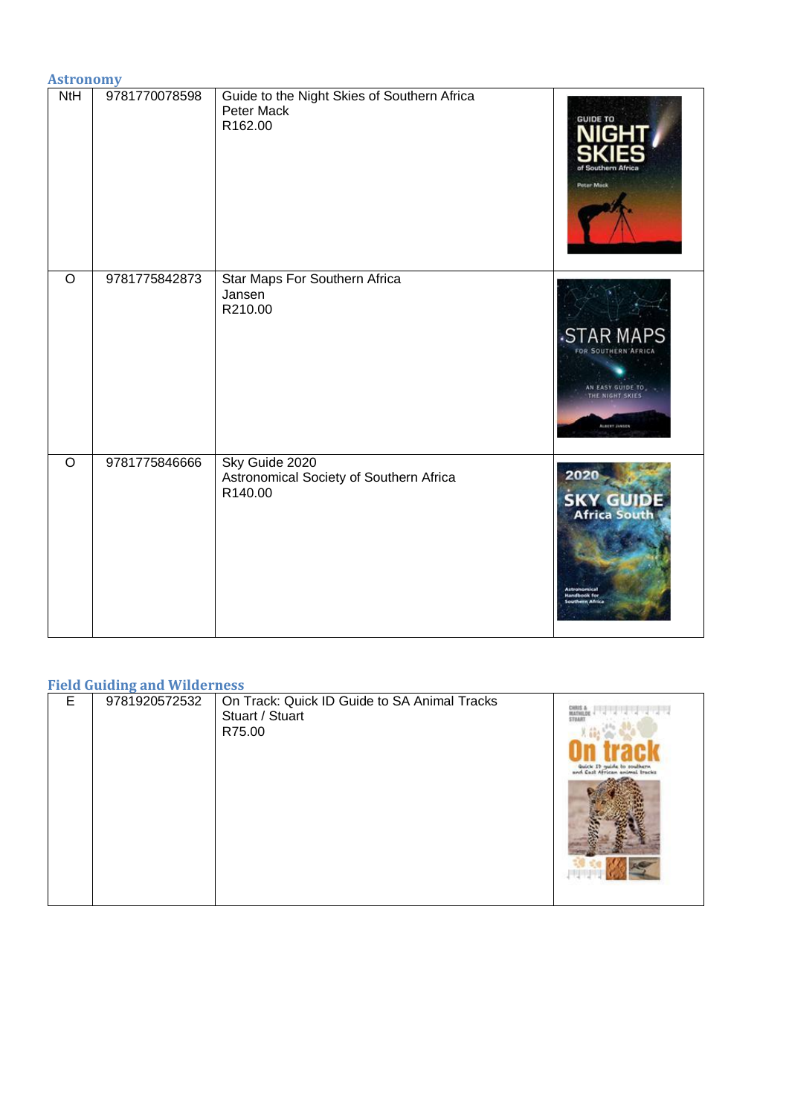|         | <b>Astronomy</b> |                                                                      |                                                                                                  |  |
|---------|------------------|----------------------------------------------------------------------|--------------------------------------------------------------------------------------------------|--|
| NtH     | 9781770078598    | Guide to the Night Skies of Southern Africa<br>Peter Mack<br>R162.00 | <b>GUIDE TO</b><br>Southern Af<br>Peter Mack                                                     |  |
| $\circ$ | 9781775842873    | Star Maps For Southern Africa<br>Jansen<br>R210.00                   | <b>STAR MAPS</b><br>FOR SOUTHERN AFRICA<br>AN EASY GUIDE TO<br>THE NIGHT SKIES<br>ALBERT JANSEN  |  |
| $\circ$ | 9781775846666    | Sky Guide 2020<br>Astronomical Society of Southern Africa<br>R140.00 | 2020<br><b>SKY GUIDE</b><br>Africa South<br><b>Astron</b><br><b>Landbook for</b><br>thern Africa |  |

## **Field Guiding and Wilderness**

| ----- | $-$           | ---<br>---                                                                |                                |
|-------|---------------|---------------------------------------------------------------------------|--------------------------------|
| E     | 9781920572532 | On Track: Quick ID Guide to SA Animal Tracks<br>Stuart / Stuart<br>R75.00 | and Cast African animal tracks |
|       |               |                                                                           |                                |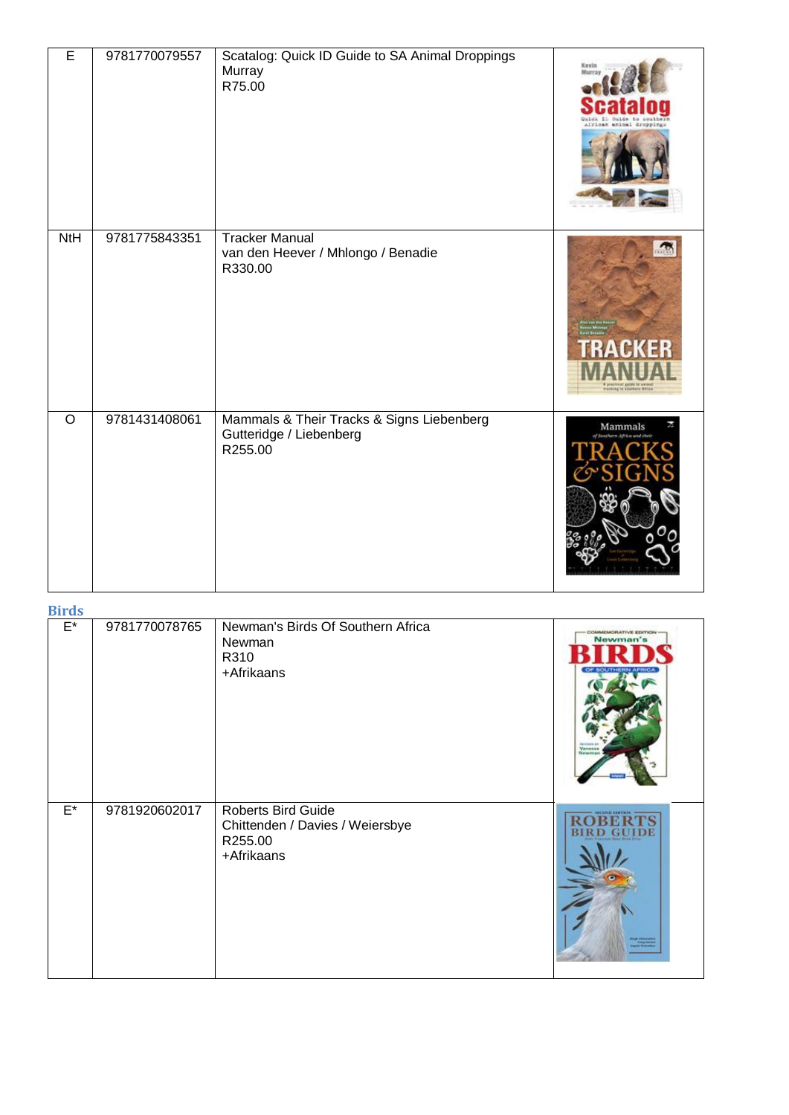| E              | 9781770079557 | Scatalog: Quick ID Guide to SA Animal Droppings<br>Murray<br>R75.00             | Kevin                                                 |
|----------------|---------------|---------------------------------------------------------------------------------|-------------------------------------------------------|
| <b>NtH</b>     | 9781775843351 | <b>Tracker Manual</b><br>van den Heever / Mhlongo / Benadie<br>R330.00          | praznosť galifické soimet<br>sokieg ta spiebace Abice |
| $\overline{O}$ | 9781431408061 | Mammals & Their Tracks & Signs Liebenberg<br>Gutteridge / Liebenberg<br>R255.00 | Mammals                                               |

**Birds**

| <b>DITUS</b>       |               |                                                                                       |                                                                      |
|--------------------|---------------|---------------------------------------------------------------------------------------|----------------------------------------------------------------------|
| $\mathsf{E}^\star$ | 9781770078765 | Newman's Birds Of Southern Africa<br>Newman<br>R310<br>+Afrikaans                     | COMMEMORATIVE EDITION<br>Newman's<br><b><i>Manager</i></b><br>Newman |
| $E^*$              | 9781920602017 | <b>Roberts Bird Guide</b><br>Chittenden / Davies / Weiersbye<br>R255.00<br>+Afrikaans | <b>HECKING EXITION -</b>                                             |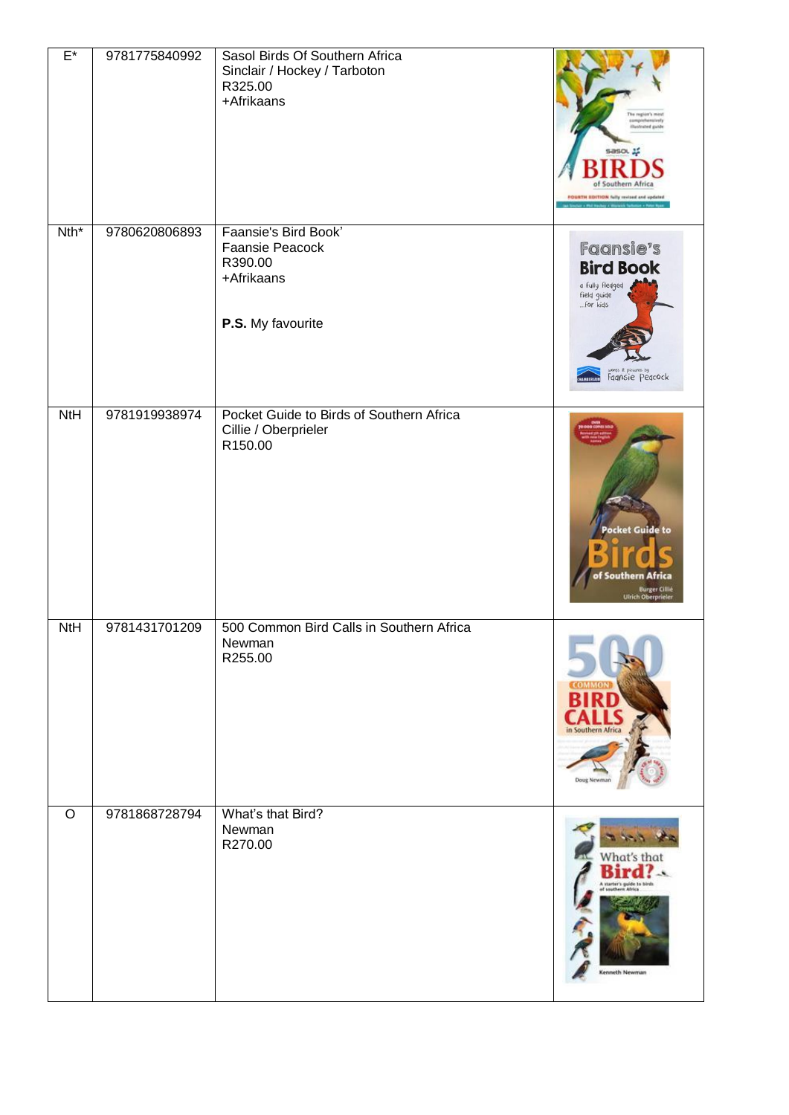| $E^*$      | 9781775840992 | Sasol Birds Of Southern Africa<br>Sinclair / Hockey / Tarboton<br>R325.00<br>+Afrikaans | The region's most<br>mprehensively<br><b>Hashsted guide</b><br>sasou<br>Southern Afric<br>FOURTH EDITION fully revised and updated |
|------------|---------------|-----------------------------------------------------------------------------------------|------------------------------------------------------------------------------------------------------------------------------------|
| $Nth^*$    | 9780620806893 | Faansie's Bird Book'<br>Faansie Peacock<br>R390.00<br>+Afrikaans<br>P.S. My favourite   | <b>Faansie's</b><br><b>Bird Book</b><br>a fully fledged<br>field guide<br>for kids<br>words & pictures by<br>Faansie Peacock       |
| NtH        | 9781919938974 | Pocket Guide to Birds of Southern Africa<br>Cillie / Oberprieler<br>R150.00             | <b>Pocket Guide to</b><br>of Southern Africa<br><b>Burger Cillié</b><br><b>Ulrich Oberprieler</b>                                  |
| <b>NtH</b> | 9781431701209 | 500 Common Bird Calls in Southern Africa<br>Newman<br>R255.00                           | Doug                                                                                                                               |
| $\circ$    | 9781868728794 | What's that Bird?<br>Newman<br>R270.00                                                  | What's tha<br>A starter's guide to bit<br>Kenneth Newman                                                                           |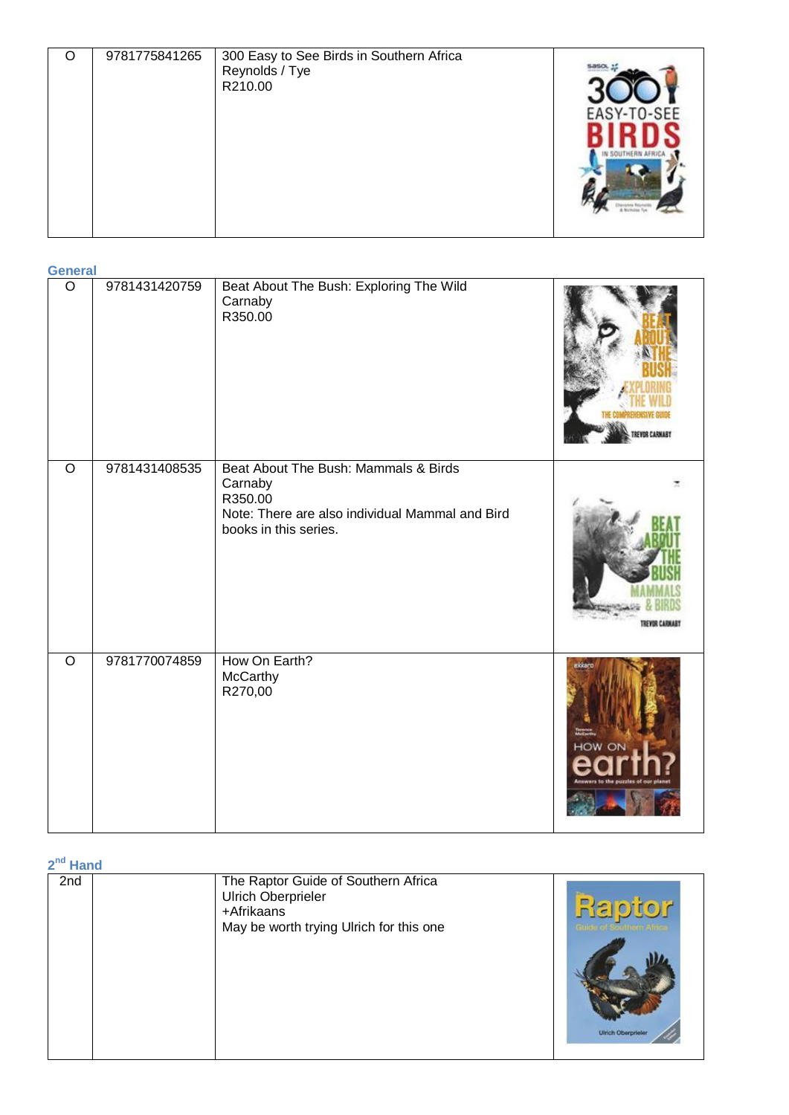| C | 9781775841265 | 300 Easy to See Birds in Southern Africa<br>Reynolds / Tye<br>R210.00 | EASY-TO-SEE |
|---|---------------|-----------------------------------------------------------------------|-------------|
|---|---------------|-----------------------------------------------------------------------|-------------|

| <b>General</b> |               |                                                                                                                                        |                  |  |  |
|----------------|---------------|----------------------------------------------------------------------------------------------------------------------------------------|------------------|--|--|
| $\overline{O}$ | 9781431420759 | Beat About The Bush: Exploring The Wild<br>Carnaby<br>R350.00                                                                          |                  |  |  |
| $\overline{O}$ | 9781431408535 | Beat About The Bush: Mammals & Birds<br>Carnaby<br>R350.00<br>Note: There are also individual Mammal and Bird<br>books in this series. |                  |  |  |
| $\overline{O}$ | 9781770074859 | How On Earth?<br>McCarthy<br>R270,00                                                                                                   | ekkart<br>HOW ON |  |  |

**2 nd Hand**

| 2nd | The Raptor Guide of Southern Africa<br><b>Ulrich Oberprieler</b><br>+Afrikaans<br>May be worth trying Ulrich for this one | Raptor<br><b>Ulrich Oberpr</b> |
|-----|---------------------------------------------------------------------------------------------------------------------------|--------------------------------|
|     |                                                                                                                           |                                |